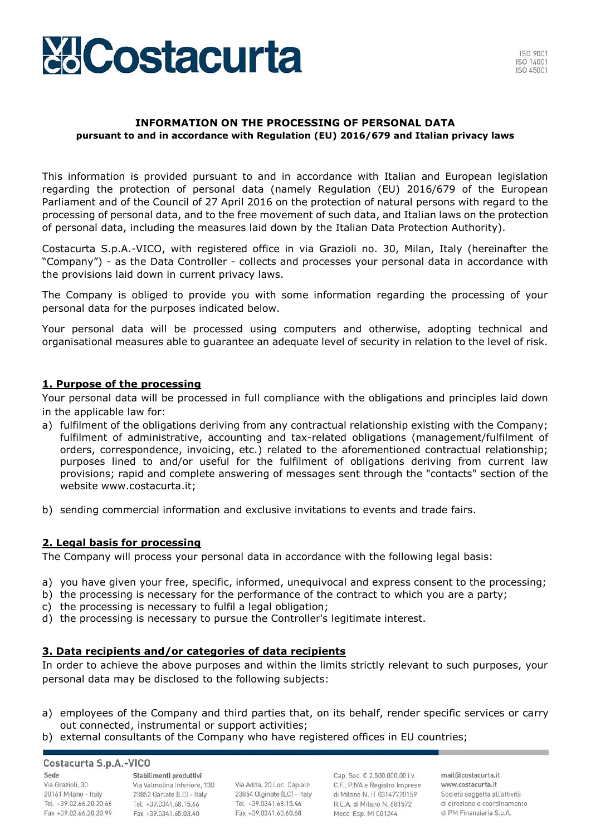

#### **INFORMATION ON THE PROCESSING OF PERSONAL DATA pursuant to and in accordance with Regulation (EU) 2016/679 and Italian privacy laws**

This information is provided pursuant to and in accordance with Italian and European legislation regarding the protection of personal data (namely Regulation (EU) 2016/679 of the European Parliament and of the Council of 27 April 2016 on the protection of natural persons with regard to the processing of personal data, and to the free movement of such data, and Italian laws on the protection of personal data, including the measures laid down by the Italian Data Protection Authority).

Costacurta S.p.A.-VICO, with registered office in via Grazioli no. 30, Milan, Italy (hereinafter the "Company") - as the Data Controller - collects and processes your personal data in accordance with the provisions laid down in current privacy laws.

The Company is obliged to provide you with some information regarding the processing of your personal data for the purposes indicated below.

Your personal data will be processed using computers and otherwise, adopting technical and organisational measures able to guarantee an adequate level of security in relation to the level of risk.

### **1. Purpose of the processing**

Your personal data will be processed in full compliance with the obligations and principles laid down in the applicable law for:

- a) fulfilment of the obligations deriving from any contractual relationship existing with the Company; fulfilment of administrative, accounting and tax-related obligations (management/fulfilment of orders, correspondence, invoicing, etc.) related to the aforementioned contractual relationship; purposes lined to and/or useful for the fulfilment of obligations deriving from current law provisions; rapid and complete answering of messages sent through the "contacts" section of the website [www.costacurta.it;](http://www.costacurta.it/)
- b) sending commercial information and exclusive invitations to events and trade fairs.

## **2. Legal basis for processing**

The Company will process your personal data in accordance with the following legal basis:

- a) you have given your free, specific, informed, unequivocal and express consent to the processing;
- b) the processing is necessary for the performance of the contract to which you are a party;
- c) the processing is necessary to fulfil a legal obligation;
- d) the processing is necessary to pursue the Controller's legitimate interest.

### **3. Data recipients and/or categories of data recipients**

In order to achieve the above purposes and within the limits strictly relevant to such purposes, your personal data may be disclosed to the following subjects:

- a) employees of the Company and third parties that, on its behalf, render specific services or carry out connected, instrumental or support activities;
- b) external consultants of the Company who have registered offices in EU countries;

## Costacurta S.p.A.-VICO

Sede Via Grazioli, 30 20161 Milano - Italy Tel. +39.02.66.20.20.66 Fax +39.02.66.20.20.99

Stabilimenti produttivi Via Valmolina Inferiore, 130 23852 Garlate (LC) - Italy Tel. +39.0341.68.15.46 Fax +39.0341.65.03.40

Via Adda, 20 Loc. Capiate 23854 Olginate (LC) - Italy Tel. +39.0341.68.15.46 Fax +39,0341,60,60,68

Cap. Soc. € 2.500.000,00 i.v. C.F., P.IVA e Registro Imprese di Milano N. IT 03147720159 R.E.A. di Milano N. 681572 Mecc. Esp. MI 001244

mail@costacurta.it www.costacurta.it Società soggetta all'attività di direzione e coordinamento di PM Finanziaria S.p.A.